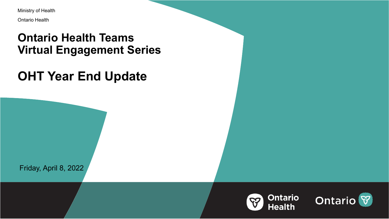Ministry of Health

Ontario Health

## **Ontario Health Teams Virtual Engagement Series**

## **OHT Year End Update**

Friday, April 8, 2022



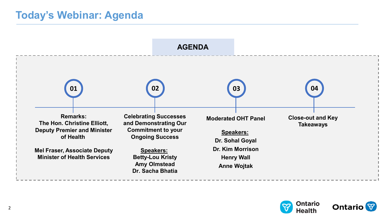### **Today's Webinar: Agenda**





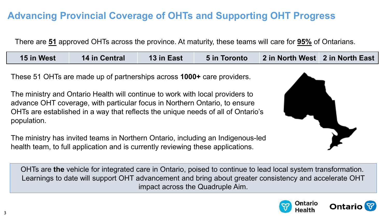### **Advancing Provincial Coverage of OHTs and Supporting OHT Progress**

There are **51** approved OHTs across the province. At maturity, these teams will care for **95%** of Ontarians.

|  | <b>15 in West</b> | 14 in Central | <b>13 in East</b> | <b>5 in Toronto</b> | 2 in North West 2 in North East |  |
|--|-------------------|---------------|-------------------|---------------------|---------------------------------|--|
|--|-------------------|---------------|-------------------|---------------------|---------------------------------|--|

These 51 OHTs are made up of partnerships across **1000+** care providers.

The ministry and Ontario Health will continue to work with local providers to advance OHT coverage, with particular focus in Northern Ontario, to ensure OHTs are established in a way that reflects the unique needs of all of Ontario's population.

The ministry has invited teams in Northern Ontario, including an Indigenous-led health team, to full application and is currently reviewing these applications.



OHTs are **the** vehicle for integrated care in Ontario, poised to continue to lead local system transformation. Learnings to date will support OHT advancement and bring about greater consistency and accelerate OHT impact across the Quadruple Aim.



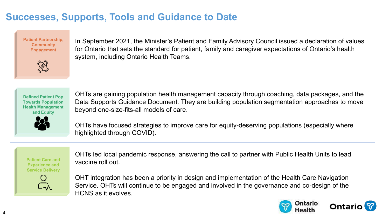### **Successes, Supports, Tools and Guidance to Date**

**Patient Partnership, Community Engagement** 



In September 2021, the Minister's Patient and Family Advisory Council issued a declaration of values for Ontario that sets the standard for patient, family and caregiver expectations of Ontario's health system, including Ontario Health Teams.

**Defined Patient Pop Towards Population Health Management and Equity** 



OHTs are gaining population health management capacity through coaching, data packages, and the Data Supports Guidance Document. They are building population segmentation approaches to move beyond one-size-fits-all models of care.

OHTs have focused strategies to improve care for equity-deserving populations (especially where highlighted through COVID).

**Patient Care and Experience and Service Delivery**  OHTs led local pandemic response, answering the call to partner with Public Health Units to lead vaccine roll out.



OHT integration has been a priority in design and implementation of the Health Care Navigation Service. OHTs will continue to be engaged and involved in the governance and co-design of the HCNS as it evolves.



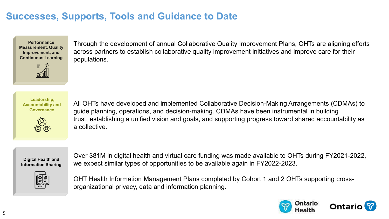### **Successes, Supports, Tools and Guidance to Date**

**Performance Measurement, Quality Improvement, and Continuous Learning** 



Through the development of annual Collaborative Quality Improvement Plans, OHTs are aligning efforts across partners to establish collaborative quality improvement initiatives and improve care for their populations.

**Leadership, Accountability and Governance** 



All OHTs have developed and implemented Collaborative Decision-Making Arrangements (CDMAs) to guide planning, operations, and decision-making. CDMAs have been instrumental in building trust, establishing a unified vision and goals, and supporting progress toward shared accountability as a collective.

**Digital Health and Information Sharing** 

Over \$81M in digital health and virtual care funding was made available to OHTs during FY2021-2022, we expect similar types of opportunities to be available again in FY2022-2023.



OHT Health Information Management Plans completed by Cohort 1 and 2 OHTs supporting crossorganizational privacy, data and information planning.



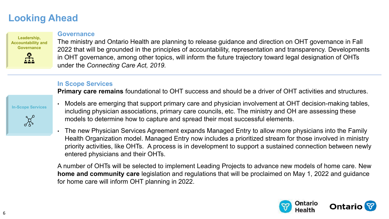### **Looking Ahead**

### **Leadership, Accountability and Governance**

#### **Governance**

The ministry and Ontario Health are planning to release guidance and direction on OHT governance in Fall 2022 that will be grounded in the principles of accountability, representation and transparency. Developments in OHT governance, among other topics, will inform the future trajectory toward legal designation of OHTs under the *Connecting Care Act, 2019.* 

#### **In Scope Services**

**Primary care remains** foundational to OHT success and should be a driver of OHT activities and structures.





- Models are emerging that support primary care and physician involvement at OHT decision-making tables, including physician associations, primary care councils, etc. The ministry and OH are assessing these models to determine how to capture and spread their most successful elements.
- The new Physician Services Agreement expands Managed Entry to allow more physicians into the Family Health Organization model. Managed Entry now includes a prioritized stream for those involved in ministry priority activities, like OHTs. A process is in development to support a sustained connection between newly entered physicians and their OHTs.

A number of OHTs will be selected to implement Leading Projects to advance new models of home care. New **home and community care** legislation and regulations that will be proclaimed on May 1, 2022 and guidance for home care will inform OHT planning in 2022.



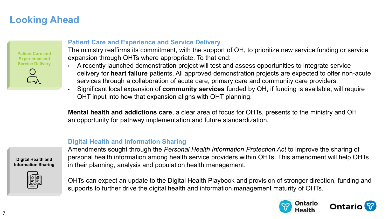### **Looking Ahead**

**Patient Care and Experience and Service Delivery** 



#### **Patient Care and Experience and Service Delivery**

The ministry reaffirms its commitment, with the support of OH, to prioritize new service funding or service expansion through OHTs where appropriate. To that end:

- A recently launched demonstration project will test and assess opportunities to integrate service delivery for **heart failure** patients. All approved demonstration projects are expected to offer non-acute services through a collaboration of acute care, primary care and community care providers.
- Significant local expansion of **community services** funded by OH, if funding is available, will require OHT input into how that expansion aligns with OHT planning.

**Mental health and addictions care**, a clear area of focus for OHTs, presents to the ministry and OH an opportunity for pathway implementation and future standardization.

#### **Digital Health and Information Sharing**



Amendments sought through the *Personal Health Information Protection Act* to improve the sharing of personal health information among health service providers within OHTs. This amendment will help OHTs in their planning, analysis and population health management.

OHTs can expect an update to the Digital Health Playbook and provision of stronger direction, funding and supports to further drive the digital health and information management maturity of OHTs.